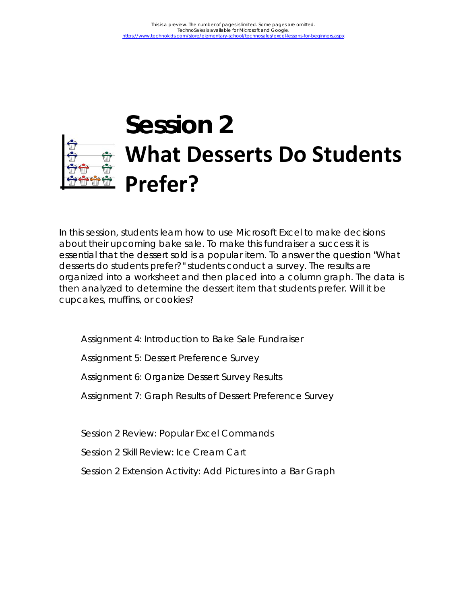# **Session 2 What Desserts Do Students Prefer?**

In this session, students learn how to use Microsoft Excel to make decisions about their upcoming bake sale. To make this fundraiser a success it is essential that the dessert sold is a popular item. To answer the question "What desserts do students prefer?" students conduct a survey. The results are organized into a worksheet and then placed into a column graph. The data is then analyzed to determine the dessert item that students prefer. Will it be cupcakes, muffins, or cookies?

Assignment 4: Introduction to Bake Sale Fundraiser

Assignment 5: Dessert Preference Survey

Assignment 6: Organize Dessert Survey Results

Assignment 7: Graph Results of Dessert Preference Survey

Session 2 Review: Popular Excel Commands

Session 2 Skill Review: Ice Cream Cart

Session 2 Extension Activity: Add Pictures into a Bar Graph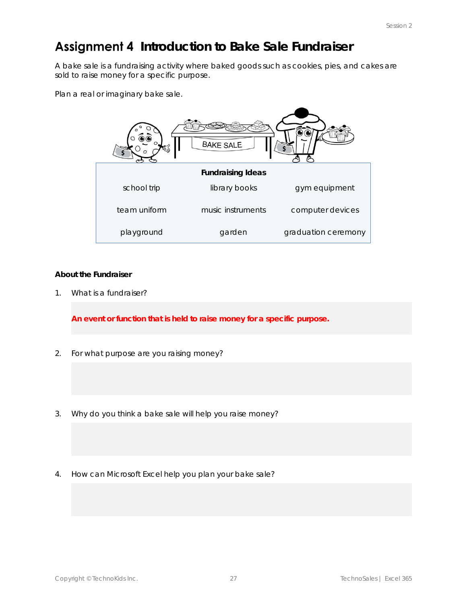# Assignment 4 Introduction to Bake Sale Fundraiser

A bake sale is a fundraising activity where baked goods such as cookies, pies, and cakes are sold to raise money for a specific purpose.

Plan a real or imaginary bake sale.



#### **About the Fundraiser**

1. What is a fundraiser?

**An event or function that is held to raise money for a specific purpose.**

- 2. For what purpose are you raising money?
- 3. Why do you think a bake sale will help you raise money?
- 4. How can Microsoft Excel help you plan your bake sale?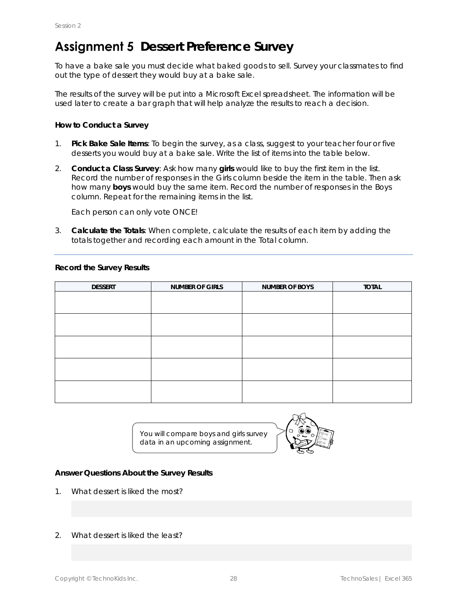# **Assignment 5** Dessert Preference Survey

To have a bake sale you must decide what baked goods to sell. Survey your classmates to find out the type of dessert they would buy at a bake sale.

The results of the survey will be put into a Microsoft Excel spreadsheet. The information will be used later to create a bar graph that will help analyze the results to reach a decision.

**How to Conduct a Survey**

- 1. **Pick Bake Sale Items**: To begin the survey, as a class, suggest to your teacher four or five desserts you would buy at a bake sale. Write the list of items into the table below.
- 2. **Conduct a Class Survey**: Ask how many **girls** would like to buy the first item in the list. Record the number of responses in the *Girls* column beside the item in the table. Then ask how many **boys** would buy the same item. Record the number of responses in the *Boys* column. Repeat for the remaining items in the list.

Each person can only vote ONCE!

3. **Calculate the Totals**: When complete, calculate the results of each item by adding the totals together and recording each amount in the *Total* column.

| <b>DESSERT</b> | NUMBER OF GIRLS | NUMBER OF BOYS | <b>TOTAL</b> |
|----------------|-----------------|----------------|--------------|
|                |                 |                |              |
|                |                 |                |              |
|                |                 |                |              |
|                |                 |                |              |
|                |                 |                |              |
|                |                 |                |              |
|                |                 |                |              |
|                |                 |                |              |
|                |                 |                |              |
|                |                 |                |              |

You will compare boys and girls survey data in an upcoming assignment.



**Answer Questions About the Survey Results**

- 1. What dessert is liked the most?
- 2. What dessert is liked the least?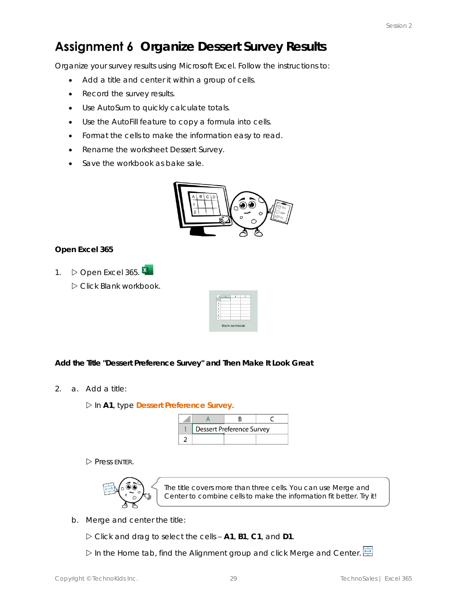# Assignment 6 Organize Dessert Survey Results

Organize your survey results using Microsoft Excel. Follow the instructions to:

- Add a title and center it within a group of cells.
- Record the survey results.
- Use AutoSum to quickly calculate totals.
- Use the AutoFill feature to copy a formula into cells.
- Format the cells to make the information easy to read.
- Rename the worksheet *Dessert Survey*.
- Save the workbook as *bake sale*.



**Open Excel 365**

1.  $\triangleright$  Open Excel 365. Click *Blank workbook*.

|   | ĥ                     |  |
|---|-----------------------|--|
|   |                       |  |
|   |                       |  |
|   |                       |  |
|   |                       |  |
| 5 |                       |  |
| ĥ |                       |  |
|   |                       |  |
|   | <b>Blank workbook</b> |  |

**Add the Title "Dessert Preference Survey" and Then Make It Look Great**

2. a. Add a title:

In **A1**, type **Dessert Preference Survey**.

|  | <b>Dessert Preference Survey</b> |  |
|--|----------------------------------|--|
|  |                                  |  |

 $\triangleright$  Press ENTER.



The title covers more than three cells. You can use Merge and Center to combine cells to make the information fit better. Try it!

b. Merge and center the title:

Click and drag to select the cells – **A1**, **B1**, **C1**, and **D1**.

In the Home tab, find the Alignment group and click *Merge and Center*.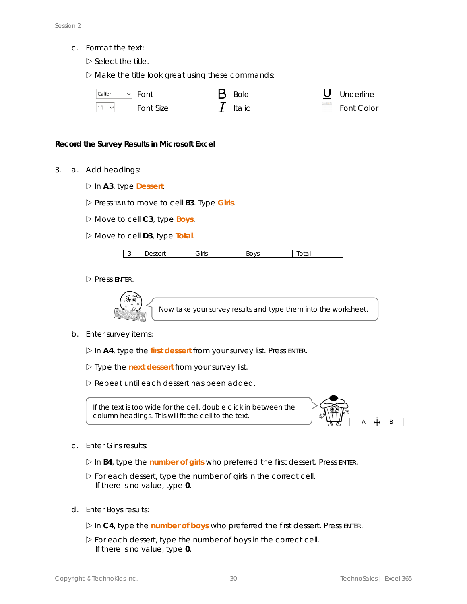c. Format the text:

 $\triangleright$  Select the title.

 $\triangleright$  Make the title look great using these commands:

| Calibri | Font      |
|---------|-----------|
|         | Font Size |

| Font      | $\mathbf B$ Bold | <b>U</b> Underline |
|-----------|------------------|--------------------|
| Font Size | $I$ Italic       | Font Color         |

#### **Record the Survey Results in Microsoft Excel**

- 3. a. Add headings:
	- In **A3**, type **Dessert**.

Press TAB to move to cell **B3**. Type **Girls**.

- Move to cell **C3**, type **Boys**.
- Move to cell **D3**, type **Total**.

| ັ | $\sim$ $\sim$ $\sim$ $\sim$ $+$<br>$\overline{\phantom{a}}$<br>esseri<br>. . | Girls | $\bigcap V^c$<br>≺∟<br>◡<br><b>v</b> J | . .<br>tuta, |
|---|------------------------------------------------------------------------------|-------|----------------------------------------|--------------|

 $\triangleright$  Press ENTER.



b. Enter survey items:

In **A4**, type the *first* **dessert** from your survey list. Press ENTER.

- Type the *next* **dessert** from your survey list.
- Repeat until each dessert has been added.

If the text is too wide for the cell, double click in between the column headings. This will fit the cell to the text.



c. Enter *Girls* results:

In **B4**, type the *number of* **girls** who preferred the first dessert. Press ENTER.

- $\triangleright$  For each dessert, type the number of girls in the correct cell. If there is no value, type **0**.
- d. Enter *Boys* results:
	- In **C4**, type the *number of* **boys** who preferred the first dessert. Press ENTER.
	- $\triangleright$  For each dessert, type the number of boys in the correct cell. If there is no value, type **0**.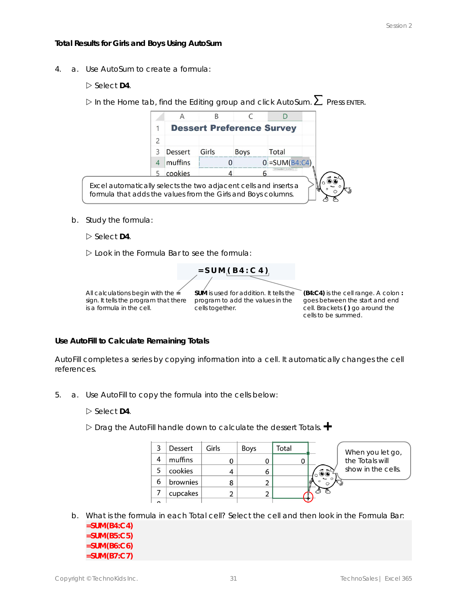#### **Total Results for Girls and Boys Using AutoSum**

4. a. Use AutoSum to create a formula:

 $\triangleright$  Select D4.

 $\triangleright$  In the Home tab, find the Editing group and click AutoSum.  $\sum$  Press ENTER.

|                                                                                                                                   |         | <b>Dessert Preference Survey</b> |             |                    |  |
|-----------------------------------------------------------------------------------------------------------------------------------|---------|----------------------------------|-------------|--------------------|--|
|                                                                                                                                   |         |                                  |             |                    |  |
|                                                                                                                                   | Dessert | Girls                            | <b>Boys</b> | Total              |  |
|                                                                                                                                   | muffins |                                  |             | $0$ = SUM(B4:C4)   |  |
|                                                                                                                                   | cookies |                                  |             | Maumbert Increbedt |  |
| Excel automatically selects the two adjacent cells and inserts a<br>formula that adds the values from the Girls and Boys columns. |         |                                  |             |                    |  |

b. Study the formula:

 $\triangleright$  Select D4.

Look in the Formula Bar to see the formula:

All calculations begin with the **=** sign. It tells the program that there program to add the values in the goes between the *start* and end is a formula in the cell.

cells together.

 $= S U M (B 4 : C 4)$ 

**SUM** is used for addition. It tells the **(B4:C4)** is the cell range. A colon **:**  cell. Brackets **( )** go around the cells to be summed.

**Use AutoFill to Calculate Remaining Totals**

AutoFill completes a series by copying information into a cell. It automatically changes the cell references.

- 5. a. Use AutoFill to copy the formula into the cells below:
	- $\triangleright$  Select D4.

Drag the AutoFill handle down to calculate the dessert *Totals*.

|          | Dessert  | Girls | <b>Boys</b> | Total | When you let go,   |
|----------|----------|-------|-------------|-------|--------------------|
| 4        | muffins  |       |             |       | the Totals will    |
|          | cookies  |       | 6           |       | show in the cells. |
| 6        | brownies | 8     |             |       |                    |
|          | cupcakes |       |             |       |                    |
| $\Omega$ |          |       |             |       |                    |

- b. What is the formula in each *Total* cell? Select the cell and then look in the Formula Bar:
	- **=SUM(B4:C4) =SUM(B5:C5) =SUM(B6:C6) =SUM(B7:C7)**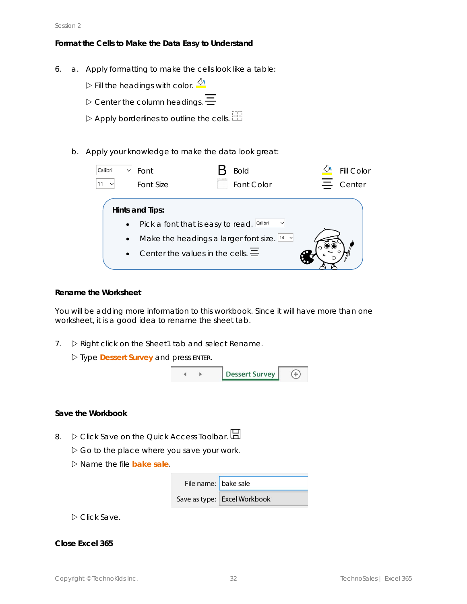**Format the Cells to Make the Data Easy to Understand**

- 6. a. Apply formatting to make the cells look like a table:
	- $\triangleright$  Fill the headings with color.  $\sqrt{\frac{1}{2}}$
	- $\triangleright$  Center the column headings.  $\equiv$
	- $\triangleright$  Apply borderlines to outline the cells.  $\Box$
	- b. Apply your knowledge to make the data look great:

| Calibri                             | Font                                                                                                     | <b>Bold</b>                                                       | <b>Fill Color</b> |
|-------------------------------------|----------------------------------------------------------------------------------------------------------|-------------------------------------------------------------------|-------------------|
|                                     | Font Size                                                                                                | Font Color                                                        | Center            |
| $\bullet$<br>$\bullet$<br>$\bullet$ | Hints and Tips:<br>Pick a font that is easy to read. Calibri<br>Center the values in the cells. $\equiv$ | $\checkmark$<br>Make the headings a larger font size. $14 \times$ |                   |

**Rename the Worksheet**

You will be adding more information to this workbook. Since it will have more than one worksheet, it is a good idea to rename the sheet tab.

7.  $\triangleright$  Right click on the Sheet1 tab and select Rename.

| ▷ Type Dessert Survey and press ENTER. |  |
|----------------------------------------|--|
|----------------------------------------|--|



#### **Save the Workbook**

- 8.  $\triangleright$  Click Save on the Quick Access Toolbar.  $\boxdot$ 
	- $\triangleright$  Go to the place where you save your work.
	- Name the file **bake sale**.

| File name: bake sale |                              |
|----------------------|------------------------------|
|                      | Save as type: Excel Workbook |

Click *Save*.

**Close Excel 365**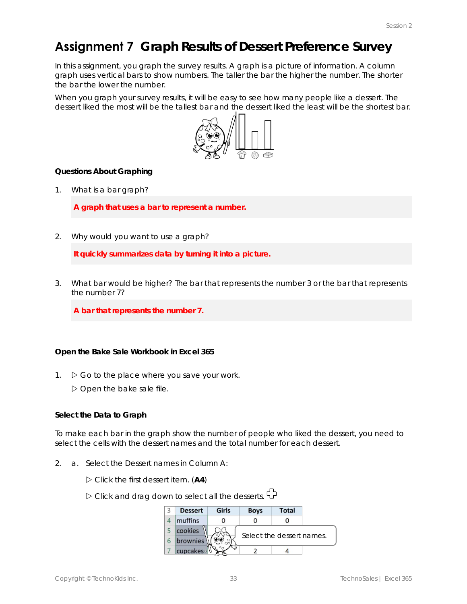# **Assignment 7** Graph Results of Dessert Preference Survey

In this assignment, you graph the survey results. A graph is a picture of information. A column graph uses vertical bars to show numbers. The taller the bar the higher the number. The shorter the bar the lower the number.

When you graph your survey results, it will be easy to see how many people like a dessert. The dessert liked the most will be the tallest bar and the dessert liked the least will be the shortest bar.



**Questions About Graphing**

1. What is a bar graph?

**A graph that uses a bar to represent a number.**

2. Why would you want to use a graph?

**It quickly summarizes data by turning it into a picture.**

3. What bar would be higher? The bar that represents the number 3 or the bar that represents the number 7?

**A bar that represents the number 7.**

**Open the Bake Sale Workbook in Excel 365**

- 1.  $\triangleright$  Go to the place where you save your work.
	- Open the *bake sale* file.

**Select the Data to Graph**

To make each bar in the graph show the number of people who liked the dessert, you need to select the cells with the dessert names and the total number for each dessert.

- 2. a. Select the *Dessert* names in Column A:
	- Click the first dessert item. (**A4**)
	- $\triangleright$  Click and drag down to select all the desserts.  $\bigoplus$

| <b>Dessert</b> | Girls | <b>Boys</b> | <b>Total</b>              |  |
|----------------|-------|-------------|---------------------------|--|
| muffins        |       |             |                           |  |
| cookies        |       |             |                           |  |
| brownies       |       |             | Select the dessert names. |  |
| cupcakes       |       |             |                           |  |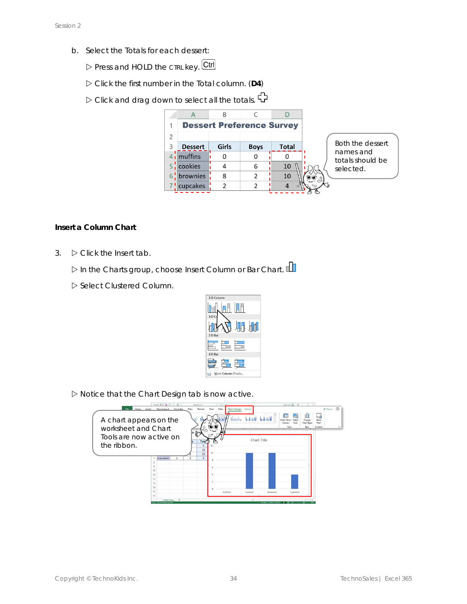- b. Select the *Totals* for each dessert:
	- Press and HOLD the CTRL key. Ctrl
	- Click the first number in the *Total* column. (**D4**)
	- $\triangleright$  Click and drag down to select all the totals.  $\bigoplus$

|                |                |       | <b>Dessert Preference Survey</b> |              |
|----------------|----------------|-------|----------------------------------|--------------|
| $\overline{2}$ |                |       |                                  |              |
| 3              | <b>Dessert</b> | Girls | <b>Boys</b>                      | <b>Total</b> |
|                | $4$ , muffins  |       |                                  |              |
|                | cookies        |       | 6                                | 10           |
| 6              | brownies       | 8     | $\mathfrak z$                    | 10           |
|                | ! cupcakes     |       |                                  |              |

**Insert a Column Chart**

3.  $\triangleright$  Click the Insert tab.

In the Charts group, choose *Insert Column or Bar Chart*.

Select *Clustered Column*.



 $\triangleright$  Notice that the Chart Design tab is now active.

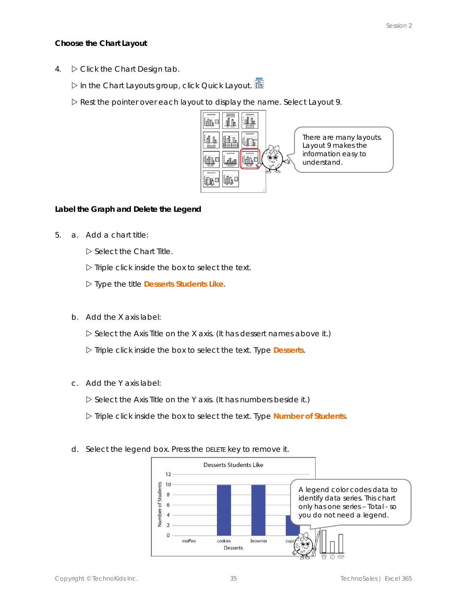**Choose the Chart Layout**

- 4.  $\triangleright$  Click the Chart Design tab.
	- In the Chart Layouts group, click *Quick Layout*.

Rest the pointer over each layout to display the name. Select *Layout 9*.



There are many layouts. Layout 9 makes the information easy to understand.

**Label the Graph and Delete the Legend**

5. a. Add a chart title:

Select the *Chart Title*.

 $\triangleright$  Triple click inside the box to select the text.

Type the title **Desserts Students Like**.

b. Add the X axis label:

Select the *Axis Title* on the X axis. (It has dessert names above it.)

Triple click inside the box to select the text. Type **Desserts**.

c. Add the Y axis label:

Select the *Axis Title* on the Y axis. (It has numbers beside it.)

Triple click inside the box to select the text. Type **Number of Students**.



d. Select the legend box. Press the DELETE key to remove it.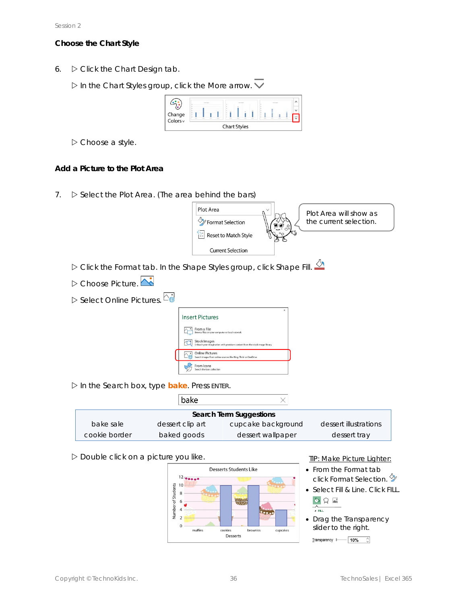#### **Choose the Chart Style**

6.  $\triangleright$  Click the Chart Design tab.

In the Chart Styles group, click the *More* arrow.



Choose a style.

**Add a Picture to the Plot Area**

7.  $\triangleright$  Select the *Plot Area*. (The area behind the bars)



|               | bake             |                         |                       |
|---------------|------------------|-------------------------|-----------------------|
|               |                  | Search Term Suggestions |                       |
| bake sale     | dessert clip art | cupcake background      | dessert illustrations |
| cookie border | baked goods      | dessert wallpaper       | dessert tray          |

 $D$  Double click on a picture you like.



TIP: Make Picture Lighter:

- From the Format tab click *Format Selection*.
- Select *Fill & Line*. Click FILL.  $\circledcirc$   $\circledcirc$



• Drag the *Transparency* slider to the right.

Transparency  $\longmapsto$  10%  $\Diamond$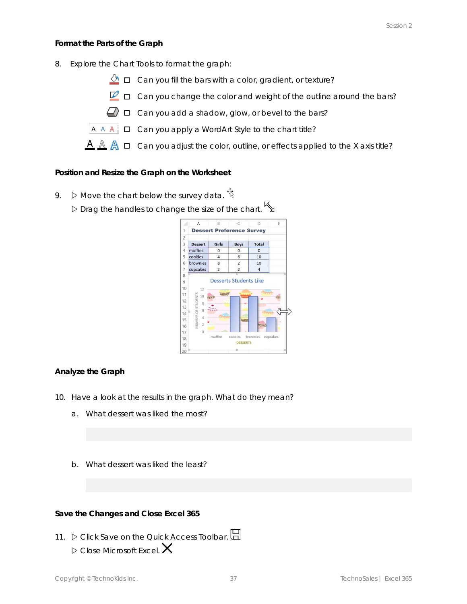**Format the Parts of the Graph**

- 8. Explore the Chart Tools to format the graph:
	- $\sqrt[n]{\mathbf{a}}$   $\Box$  Can you fill the bars with a color, gradient, or texture?
	- $\nabla$   $\Box$  Can you change the color and weight of the outline around the bars?
	- $\Box$   $\square$  Can you add a shadow, glow, or bevel to the bars?
	- $A \wedge A$   $\Box$  Can you apply a WordArt Style to the chart title?
	- $\mathbf{A} \mathbb{A}$   $\mathbb{A}$   $\Box$  Can you adjust the color, outline, or effects applied to the X axis title?

**Position and Resize the Graph on the Worksheet**

9.  $\triangleright$  Move the chart below the survey data.  $\ddot{\ddot{\mathbf{S}}}$  $\triangleright$  Drag the handles to change the size of the chart.  $\searrow$ 

|                                        | A                                           | B              | Ċ                                | D                 | E |
|----------------------------------------|---------------------------------------------|----------------|----------------------------------|-------------------|---|
| $\overline{1}$                         |                                             |                | <b>Dessert Preference Survey</b> |                   |   |
| $\overline{c}$                         |                                             |                |                                  |                   |   |
| 3                                      | <b>Dessert</b>                              | Girls          | <b>Boys</b>                      | <b>Total</b>      |   |
| 4                                      | muffins                                     | $\mathbf 0$    | $\mathbf{0}$                     | $\overline{0}$    |   |
| 5                                      | cookies                                     | $\overline{4}$ | 6                                | 10                |   |
| 6                                      | brownies                                    | 8              | $\overline{2}$                   | 10                |   |
| 7                                      | cupcakes                                    | $\overline{2}$ | 2                                | $\overline{a}$    |   |
| 10                                     | 12                                          | <b>SMAGES</b>  |                                  |                   |   |
| 11                                     | 10                                          |                |                                  |                   |   |
|                                        | 8                                           |                |                                  |                   |   |
|                                        | 6                                           |                |                                  |                   |   |
|                                        | $\Delta$                                    |                | WHAS                             |                   |   |
|                                        | <b>NUMBER OF STUDENTS</b><br>$\overline{2}$ |                |                                  | $\overline{1}$    |   |
|                                        | O                                           |                |                                  |                   |   |
| 12<br>13<br>14<br>15<br>16<br>17<br>18 |                                             | muffins        | cookies                          | brownies cupcakes |   |
| 19                                     |                                             |                | <b>DESSERTS</b>                  |                   |   |

#### **Analyze the Graph**

- 10. Have a look at the results in the graph. What do they mean?
	- a. What dessert was liked the most?
	- b. What dessert was liked the least?

**Save the Changes and Close Excel 365**

11.  $\triangleright$  Click Save on the Quick Access Toolbar.  $\boxdot$  $\triangleright$  Close Microsoft Excel.  $\bigtimes$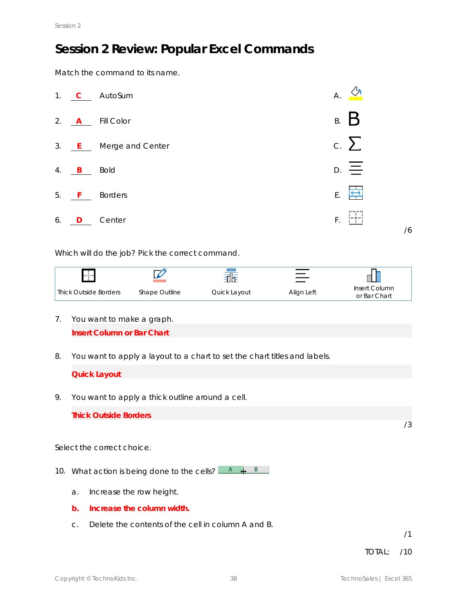# **Session 2 Review: Popular Excel Commands**

Match the command to its name.



Which will do the job? Pick the correct command.



- 7. You want to make a graph. **Insert Column or Bar Chart**
- 8. You want to apply a layout to a chart to set the chart titles and labels.

**Quick Layout**

9. You want to apply a thick outline around a cell.

**Thick Outside Borders**

Select the correct choice.

- 10. What action is being done to the cells?  $\overline{A} + \overline{B}$ 
	- a. Increase the row height.
	- **b. Increase the column width.**
	- c. Delete the contents of the cell in column A and B.

/1

/3

TOTAL: /10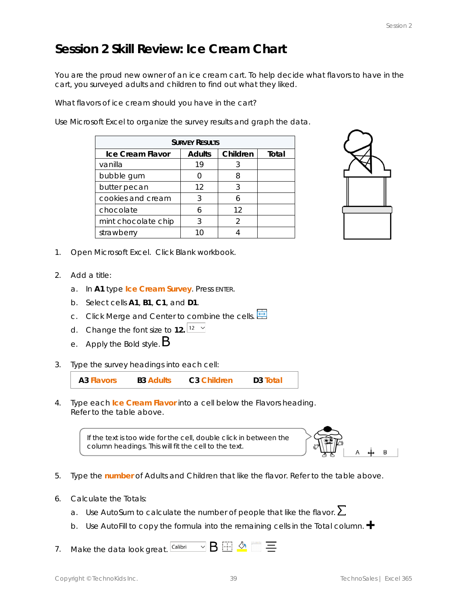### **Session 2 Skill Review: Ice Cream Chart**

You are the proud new owner of an ice cream cart. To help decide what flavors to have in the cart, you surveyed adults and children to find out what they liked.

What flavors of ice cream should you have in the cart?

Use Microsoft Excel to organize the survey results and graph the data.

| <b>SURVEY RESULTS</b> |        |          |       |  |  |  |
|-----------------------|--------|----------|-------|--|--|--|
| Ice Cream Flavor      | Adults | Children | Total |  |  |  |
| vanilla               | 19     |          |       |  |  |  |
| bubble gum            |        |          |       |  |  |  |
| butter pecan          | 12     |          |       |  |  |  |
| cookies and cream     |        |          |       |  |  |  |
| chocolate             |        | 12       |       |  |  |  |
| mint chocolate chip   |        |          |       |  |  |  |
| strawberry            |        |          |       |  |  |  |



- 1. Open Microsoft Excel. Click *Blank workbook*.
- 2. Add a title:
	- a. In **A1** type **Ice Cream Survey**. Press ENTER.
	- b. Select cells **A1**, **B1**, **C1**, and **D1**.
	- c. Click *Merge and Center* to combine the cells.
	- d. Change the font size to **12.**
	- e. Apply the *Bold* style.
- 3. Type the survey headings into each cell:

**A3 Flavors B3 Adults C3 Children D3 Total**

4. Type each *Ice Cream Flavor* into a cell below the *Flavors* heading. Refer to the table above.

> If the text is too wide for the cell, double click in between the column headings. This will fit the cell to the text.



- 5. Type the *number* of *Adults* and *Children* that like the flavor. Refer to the table above.
- 6. Calculate the *Totals*:
	- a. Use AutoSum to calculate the number of people that like the flavor.  $\sum$
	- b. Use AutoFill to copy the formula into the remaining cells in the Total column.
- 7. Make the data look great.  $\boxed{\text{Calibri}} \quad \vee \text{B} \quad \text{F}$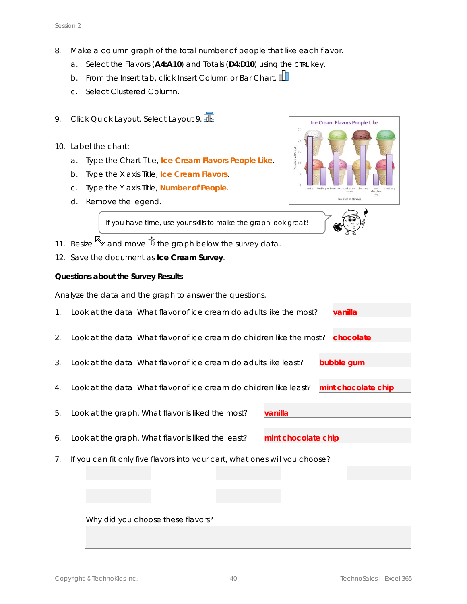- 8. Make a column graph of the total number of people that like each flavor.
	- a. Select the Flavors (**A4:A10**) and *Totals* (**D4:D10**) using the CTRL key.
	- b. From the Insert tab, click *Insert Column or Bar Chart*.
	- c. Select *Clustered Column*.
- 9. Click Quick Layout. Select *Layout 9*.
- 10. Label the chart:
	- a. Type the *Chart Title,* **Ice Cream Flavors People Like**.
	- b. Type the *X axis Title,* **Ice Cream Flavors**.
	- c. Type the *Y axis Title,* **Number of People**.
	- d. Remove the legend.



| If you have time, use your skills to make the graph look great! | $\bullet$ |  |
|-----------------------------------------------------------------|-----------|--|
|                                                                 |           |  |
|                                                                 |           |  |

- 11. Resize  $\overline{\mathbb{S}}$  and move  $\overline{\mathbb{S}}$  the graph below the survey data.
- 12. Save the document as **Ice Cream Survey**.

**Questions about the Survey Results**

Analyze the data and the graph to answer the questions.

| $\mathbf{1}$ . | Look at the data. What flavor of ice cream do adults like the most?<br>vanilla            |
|----------------|-------------------------------------------------------------------------------------------|
|                |                                                                                           |
| 2.             | Look at the data. What flavor of ice cream do children like the most? chocolate           |
|                |                                                                                           |
| 3.             | bubble gum<br>Look at the data. What flavor of ice cream do adults like least?            |
|                |                                                                                           |
| $4_{\cdot}$    | Look at the data. What flavor of ice cream do children like least?<br>mint chocolate chip |
|                |                                                                                           |
| 5.             | Look at the graph. What flavor is liked the most?<br>vanilla                              |
|                |                                                                                           |
| 6.             | Look at the graph. What flavor is liked the least?<br>mint chocolate chip                 |
| 7.             | If you can fit only five flavors into your cart, what ones will you choose?               |
|                |                                                                                           |
|                |                                                                                           |
|                |                                                                                           |
|                |                                                                                           |

Why did you choose these flavors?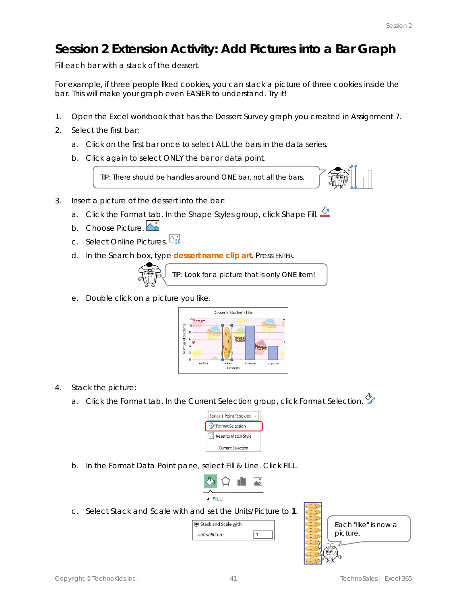# **Session 2 Extension Activity: Add Pictures into a Bar Graph**

Fill each bar with a stack of the dessert.

For example, if three people liked cookies, you can stack a picture of three cookies inside the bar. This will make your graph even EASIER to understand. Try it!

- 1. Open the Excel workbook that has the Dessert Survey graph you created in Assignment 7.
- 2. Select the first bar:
	- a. Click on the first bar once to select ALL the bars in the data series.
	- b. Click again to select ONLY the bar or data point.

TIP: There should be handles around ONE bar, not all the bars.

- 3. Insert a picture of the dessert into the bar:
	- a. Click the Format tab. In the Shape Styles group, click *Shape Fill*.
	- b. Choose *Picture*.
	- c. Select *Online Pictures*.
	- d. In the Search box, type *dessert name* **clip art**. Press ENTER.



TIP: Look for a picture that is only ONE item!

e. Double click on a picture you like.



- 4. Stack the picture:
	- a. Click the Format tab. In the Current Selection group, click *Format Selection*.



b. In the Format Data Point pane, select *Fill & Line*. Click FILL.



c. Select *Stack and Scale with* and set the Units/Picture to **1**.



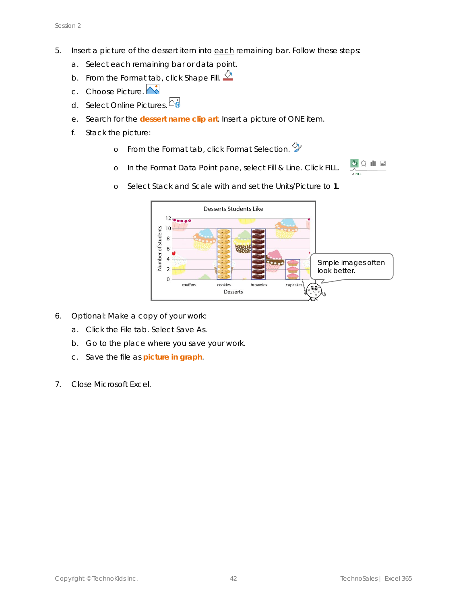- 5. Insert a picture of the dessert item into each remaining bar. Follow these steps:
	- a. Select each remaining bar or data point.
	- b. From the Format tab, click Shape Fill.
	- c. Choose *Picture*.
	- d. Select *Online Pictures*.
	- e. Search for the *dessert name* **clip art**. Insert a picture of ONE item.
	- f. Stack the picture:
		- o From the Format tab, click *Format Selection*.
		- o In the Format Data Point pane, select *Fill & Line*. Click FILL.



o Select *Stack and Scale with* and set the Units/Picture to **1**.



- 6. Optional: Make a copy of your work:
	- a. Click the File tab. Select *Save As*.
	- b. Go to the place where you save your work.
	- c. Save the file as **picture in graph**.
- 7. Close Microsoft Excel.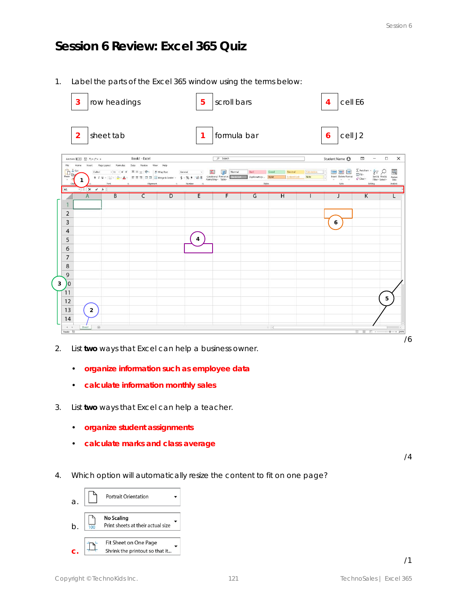### **Session 6 Review: Excel 365 Quiz**

1. Label the parts of the Excel 365 window using the terms below:

| row headings<br>3                                                                                                                                                                                                              | 5                                                                                                                                                    | scroll bars                                                                                                           |                                                       | cell E6<br>$\overline{4}$                                                                                        |                                                                                         |
|--------------------------------------------------------------------------------------------------------------------------------------------------------------------------------------------------------------------------------|------------------------------------------------------------------------------------------------------------------------------------------------------|-----------------------------------------------------------------------------------------------------------------------|-------------------------------------------------------|------------------------------------------------------------------------------------------------------------------|-----------------------------------------------------------------------------------------|
| sheet tab<br>$\overline{2}$                                                                                                                                                                                                    |                                                                                                                                                      | formula bar                                                                                                           |                                                       | cell J2<br>6                                                                                                     |                                                                                         |
| Book1 - Excel<br>AutoSave ● Off 日 ちゃさゃ 。                                                                                                                                                                                       |                                                                                                                                                      | $D$ Search                                                                                                            |                                                       | Student Name <b>@</b><br>団                                                                                       | $\Box$<br>$\times$<br>$\overline{\phantom{0}}$                                          |
| File<br>Home<br>Insert<br>Page Layout Formulas<br>Data<br>Review<br>$\begin{array}{c}\n\hline\n\end{array}\n\quad \text{Rate}$<br>X Cut<br>Calibri<br>$\cdot$ 11 $\cdot$ A $A'$ $\equiv$ $\equiv$ $\equiv$ $\gg$<br>¥.<br>Font | View<br>Help<br>Wrap Text<br>General<br>B I U - 田 - <mark>- 스 - 스 - 三三三 三三 国 Merge &amp; Center - S - % 9</mark> 38 - 38 - 39<br>Alignment<br>Number | $\Box$<br>Bad<br>Normal<br>Conditional Format as Greek Cell Explanatory  Input<br>Formatting v Table<br><b>Styles</b> | Good<br>Neutral<br>Calculation<br>Linked Cell<br>Note | $\sum$ AutoSum: $\sim$<br><b>NHE</b><br>V Fill v<br>Ę<br>Insert Delete Format<br>$Q$ Clear-<br>$\omega$<br>Cells | 27<br>靊<br>Sort & Find &<br>Analyze<br>Data<br>Filter ~ Select ~<br>Analysis<br>Editing |
| $\cdot$ $\mathbf{X}$ $\mathbf{X}$<br>A1<br>B<br>$\overline{C}$<br>A                                                                                                                                                            | D<br>E                                                                                                                                               | G<br>F                                                                                                                | H                                                     | J                                                                                                                | Κ                                                                                       |
| 1                                                                                                                                                                                                                              |                                                                                                                                                      |                                                                                                                       |                                                       |                                                                                                                  |                                                                                         |
| $\overline{2}$                                                                                                                                                                                                                 |                                                                                                                                                      |                                                                                                                       |                                                       |                                                                                                                  |                                                                                         |
| 3                                                                                                                                                                                                                              |                                                                                                                                                      |                                                                                                                       |                                                       | 6                                                                                                                |                                                                                         |
| $\overline{4}$                                                                                                                                                                                                                 |                                                                                                                                                      |                                                                                                                       |                                                       |                                                                                                                  |                                                                                         |
| 5<br>6                                                                                                                                                                                                                         | 4                                                                                                                                                    |                                                                                                                       |                                                       |                                                                                                                  |                                                                                         |
| $\overline{7}$                                                                                                                                                                                                                 |                                                                                                                                                      |                                                                                                                       |                                                       |                                                                                                                  |                                                                                         |
| 8                                                                                                                                                                                                                              |                                                                                                                                                      |                                                                                                                       |                                                       |                                                                                                                  |                                                                                         |
| 9                                                                                                                                                                                                                              |                                                                                                                                                      |                                                                                                                       |                                                       |                                                                                                                  |                                                                                         |
| )o<br>3                                                                                                                                                                                                                        |                                                                                                                                                      |                                                                                                                       |                                                       |                                                                                                                  |                                                                                         |
| 11                                                                                                                                                                                                                             |                                                                                                                                                      |                                                                                                                       |                                                       |                                                                                                                  |                                                                                         |
| 12                                                                                                                                                                                                                             |                                                                                                                                                      |                                                                                                                       |                                                       |                                                                                                                  | 5                                                                                       |
| 13<br>$\overline{2}$                                                                                                                                                                                                           |                                                                                                                                                      |                                                                                                                       |                                                       |                                                                                                                  |                                                                                         |
| 14<br>$^\circledR$<br>Sheet1<br>$A \rightarrow B$                                                                                                                                                                              |                                                                                                                                                      |                                                                                                                       | $\left\vert \cdot\right\vert$                         |                                                                                                                  | $\left\vert \cdot\right\rangle$<br>T.                                                   |
| Ready #1                                                                                                                                                                                                                       |                                                                                                                                                      |                                                                                                                       |                                                       |                                                                                                                  | <b>田 国 四 --</b><br>$+ - + 244%$<br>/6                                                   |

- 2. List **two** ways that Excel can help a business owner.
	- **organize information such as employee data**
	- **calculate information monthly sales**
- 3. List **two** ways that Excel can help a teacher.
	- **organize student assignments**
	- **calculate marks and class average**

/4

/1

4. Which option will automatically resize the content to fit on one page?

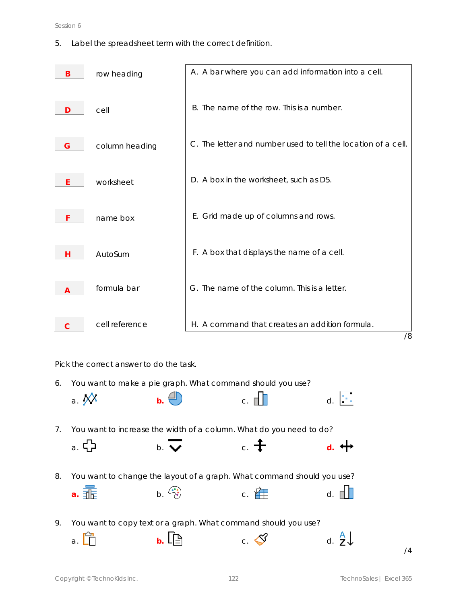#### Session 6

5. Label the spreadsheet term with the correct definition.

|   | row heading    | A. A bar where you can add information into a cell.           |
|---|----------------|---------------------------------------------------------------|
|   | cell           | B. The name of the row. This is a number.                     |
| G | column heading | C. The letter and number used to tell the location of a cell. |
|   | worksheet      | D. A box in the worksheet, such as D5.                        |
|   | name box       | E. Grid made up of columns and rows.                          |
| Н | AutoSum        | F. A box that displays the name of a cell.                    |
|   | formula bar    | G. The name of the column. This is a letter.                  |
|   | cell reference | H. A command that creates an addition formula.<br>/8          |

Pick the correct answer to do the task.

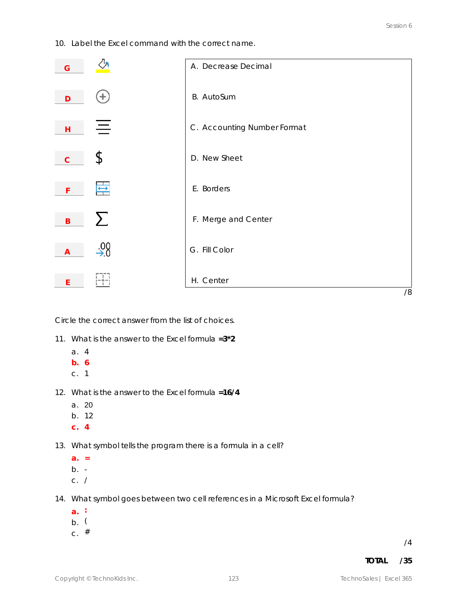10. Label the Excel command with the correct name.



Circle the correct answer from the list of choices.

- 11. What is the answer to the Excel formula **=3\*2**
	- a. 4
	- **b. 6**
	- c. 1
- 12. What is the answer to the Excel formula **=16/4**
	- a. 20
	- b. 12
	- **c. 4**

13. What symbol tells the program there is a formula in a cell?

- **a. =**
- $b. -$
- c. /
- 14. What symbol goes between two cell references in a Microsoft Excel formula?
	- **a. :**
	- b. (
	- $c.$  #

/4